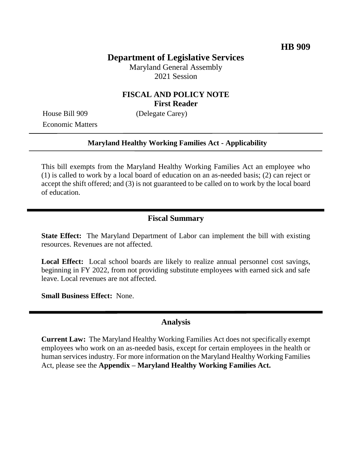# **Department of Legislative Services**

Maryland General Assembly 2021 Session

## **FISCAL AND POLICY NOTE First Reader**

House Bill 909 (Delegate Carey) Economic Matters

#### **Maryland Healthy Working Families Act - Applicability**

This bill exempts from the Maryland Healthy Working Families Act an employee who (1) is called to work by a local board of education on an as-needed basis; (2) can reject or accept the shift offered; and (3) is not guaranteed to be called on to work by the local board of education.

### **Fiscal Summary**

**State Effect:** The Maryland Department of Labor can implement the bill with existing resources. Revenues are not affected.

**Local Effect:** Local school boards are likely to realize annual personnel cost savings, beginning in FY 2022, from not providing substitute employees with earned sick and safe leave. Local revenues are not affected.

**Small Business Effect:** None.

### **Analysis**

**Current Law:** The Maryland Healthy Working Families Act does not specifically exempt employees who work on an as-needed basis, except for certain employees in the health or human services industry. For more information on the Maryland Healthy Working Families Act, please see the **Appendix – Maryland Healthy Working Families Act.**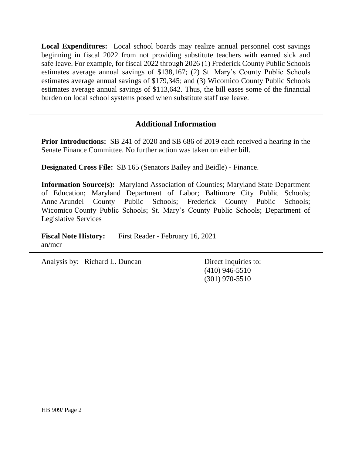**Local Expenditures:** Local school boards may realize annual personnel cost savings beginning in fiscal 2022 from not providing substitute teachers with earned sick and safe leave. For example, for fiscal 2022 through 2026 (1) Frederick County Public Schools estimates average annual savings of \$138,167; (2) St. Mary's County Public Schools estimates average annual savings of \$179,345; and (3) Wicomico County Public Schools estimates average annual savings of \$113,642. Thus, the bill eases some of the financial burden on local school systems posed when substitute staff use leave.

## **Additional Information**

**Prior Introductions:** SB 241 of 2020 and SB 686 of 2019 each received a hearing in the Senate Finance Committee. No further action was taken on either bill.

**Designated Cross File:** SB 165 (Senators Bailey and Beidle) - Finance.

**Information Source(s):** Maryland Association of Counties; Maryland State Department of Education; Maryland Department of Labor; Baltimore City Public Schools; Anne Arundel County Public Schools; Frederick County Public Schools; Wicomico County Public Schools; St. Mary's County Public Schools; Department of Legislative Services

**Fiscal Note History:** First Reader - February 16, 2021 an/mcr

Analysis by: Richard L. Duncan Direct Inquiries to:

(410) 946-5510 (301) 970-5510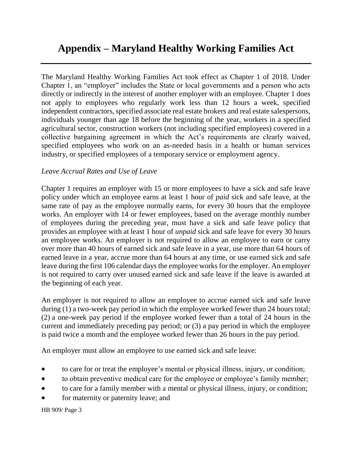# **Appendix – Maryland Healthy Working Families Act**

The Maryland Healthy Working Families Act took effect as Chapter 1 of 2018. Under Chapter 1, an "employer" includes the State or local governments and a person who acts directly or indirectly in the interest of another employer with an employee. Chapter 1 does not apply to employees who regularly work less than 12 hours a week, specified independent contractors, specified associate real estate brokers and real estate salespersons, individuals younger than age 18 before the beginning of the year, workers in a specified agricultural sector, construction workers (not including specified employees) covered in a collective bargaining agreement in which the Act's requirements are clearly waived, specified employees who work on an as-needed basis in a health or human services industry, or specified employees of a temporary service or employment agency.

## *Leave Accrual Rates and Use of Leave*

Chapter 1 requires an employer with 15 or more employees to have a sick and safe leave policy under which an employee earns at least 1 hour of *paid* sick and safe leave, at the same rate of pay as the employee normally earns, for every 30 hours that the employee works. An employer with 14 or fewer employees, based on the average monthly number of employees during the preceding year, must have a sick and safe leave policy that provides an employee with at least 1 hour of *unpaid* sick and safe leave for every 30 hours an employee works. An employer is not required to allow an employee to earn or carry over more than 40 hours of earned sick and safe leave in a year, use more than 64 hours of earned leave in a year, accrue more than 64 hours at any time, or use earned sick and safe leave during the first 106 calendar days the employee works for the employer. An employer is not required to carry over unused earned sick and safe leave if the leave is awarded at the beginning of each year.

An employer is not required to allow an employee to accrue earned sick and safe leave during (1) a two-week pay period in which the employee worked fewer than 24 hours total; (2) a one-week pay period if the employee worked fewer than a total of 24 hours in the current and immediately preceding pay period; or (3) a pay period in which the employee is paid twice a month and the employee worked fewer than 26 hours in the pay period.

An employer must allow an employee to use earned sick and safe leave:

- to care for or treat the employee's mental or physical illness, injury, or condition;
- to obtain preventive medical care for the employee or employee's family member;
- to care for a family member with a mental or physical illness, injury, or condition;
- for maternity or paternity leave; and

HB 909/ Page 3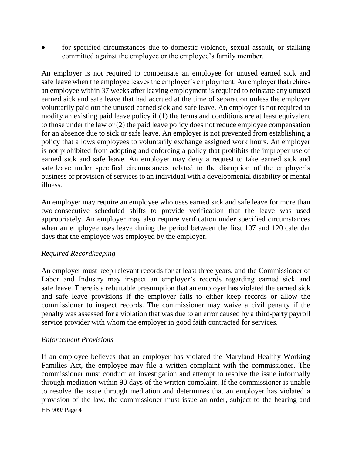for specified circumstances due to domestic violence, sexual assault, or stalking committed against the employee or the employee's family member.

An employer is not required to compensate an employee for unused earned sick and safe leave when the employee leaves the employer's employment. An employer that rehires an employee within 37 weeks after leaving employment is required to reinstate any unused earned sick and safe leave that had accrued at the time of separation unless the employer voluntarily paid out the unused earned sick and safe leave. An employer is not required to modify an existing paid leave policy if (1) the terms and conditions are at least equivalent to those under the law or (2) the paid leave policy does not reduce employee compensation for an absence due to sick or safe leave. An employer is not prevented from establishing a policy that allows employees to voluntarily exchange assigned work hours. An employer is not prohibited from adopting and enforcing a policy that prohibits the improper use of earned sick and safe leave. An employer may deny a request to take earned sick and safe leave under specified circumstances related to the disruption of the employer's business or provision of services to an individual with a developmental disability or mental illness.

An employer may require an employee who uses earned sick and safe leave for more than two consecutive scheduled shifts to provide verification that the leave was used appropriately. An employer may also require verification under specified circumstances when an employee uses leave during the period between the first 107 and 120 calendar days that the employee was employed by the employer.

## *Required Recordkeeping*

An employer must keep relevant records for at least three years, and the Commissioner of Labor and Industry may inspect an employer's records regarding earned sick and safe leave. There is a rebuttable presumption that an employer has violated the earned sick and safe leave provisions if the employer fails to either keep records or allow the commissioner to inspect records. The commissioner may waive a civil penalty if the penalty was assessed for a violation that was due to an error caused by a third-party payroll service provider with whom the employer in good faith contracted for services.

### *Enforcement Provisions*

HB 909/ Page 4 If an employee believes that an employer has violated the Maryland Healthy Working Families Act, the employee may file a written complaint with the commissioner. The commissioner must conduct an investigation and attempt to resolve the issue informally through mediation within 90 days of the written complaint. If the commissioner is unable to resolve the issue through mediation and determines that an employer has violated a provision of the law, the commissioner must issue an order, subject to the hearing and